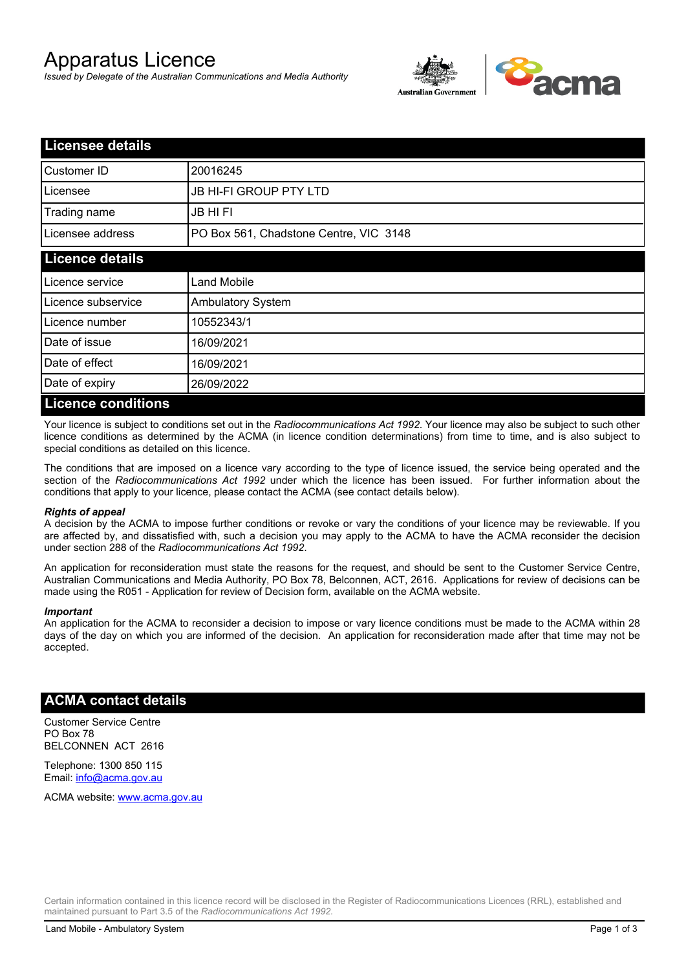# Apparatus Licence

*Issued by Delegate of the Australian Communications and Media Authority*



| <b>Licensee details</b>   |                                        |  |
|---------------------------|----------------------------------------|--|
| Customer ID               | 20016245                               |  |
| Licensee                  | <b>JB HI-FI GROUP PTY LTD</b>          |  |
| Trading name              | <b>JB HIFI</b>                         |  |
| Licensee address          | PO Box 561, Chadstone Centre, VIC 3148 |  |
| <b>Licence details</b>    |                                        |  |
| Licence service           | <b>Land Mobile</b>                     |  |
| Licence subservice        | Ambulatory System                      |  |
| Licence number            | 10552343/1                             |  |
| Date of issue             | 16/09/2021                             |  |
| Date of effect            | 16/09/2021                             |  |
| Date of expiry            | 26/09/2022                             |  |
| <b>Licence conditions</b> |                                        |  |

Your licence is subject to conditions set out in the *Radiocommunications Act 1992*. Your licence may also be subject to such other licence conditions as determined by the ACMA (in licence condition determinations) from time to time, and is also subject to special conditions as detailed on this licence.

The conditions that are imposed on a licence vary according to the type of licence issued, the service being operated and the section of the *Radiocommunications Act 1992* under which the licence has been issued. For further information about the conditions that apply to your licence, please contact the ACMA (see contact details below).

#### *Rights of appeal*

A decision by the ACMA to impose further conditions or revoke or vary the conditions of your licence may be reviewable. If you are affected by, and dissatisfied with, such a decision you may apply to the ACMA to have the ACMA reconsider the decision under section 288 of the *Radiocommunications Act 1992*.

An application for reconsideration must state the reasons for the request, and should be sent to the Customer Service Centre, Australian Communications and Media Authority, PO Box 78, Belconnen, ACT, 2616. Applications for review of decisions can be made using the R051 - Application for review of Decision form, available on the ACMA website.

#### *Important*

An application for the ACMA to reconsider a decision to impose or vary licence conditions must be made to the ACMA within 28 days of the day on which you are informed of the decision. An application for reconsideration made after that time may not be accepted.

### **ACMA contact details**

Customer Service Centre PO Box 78 BELCONNEN ACT 2616

Telephone: 1300 850 115 Email: info@acma.gov.au

ACMA website: www.acma.gov.au

Certain information contained in this licence record will be disclosed in the Register of Radiocommunications Licences (RRL), established and maintained pursuant to Part 3.5 of the *Radiocommunications Act 1992.*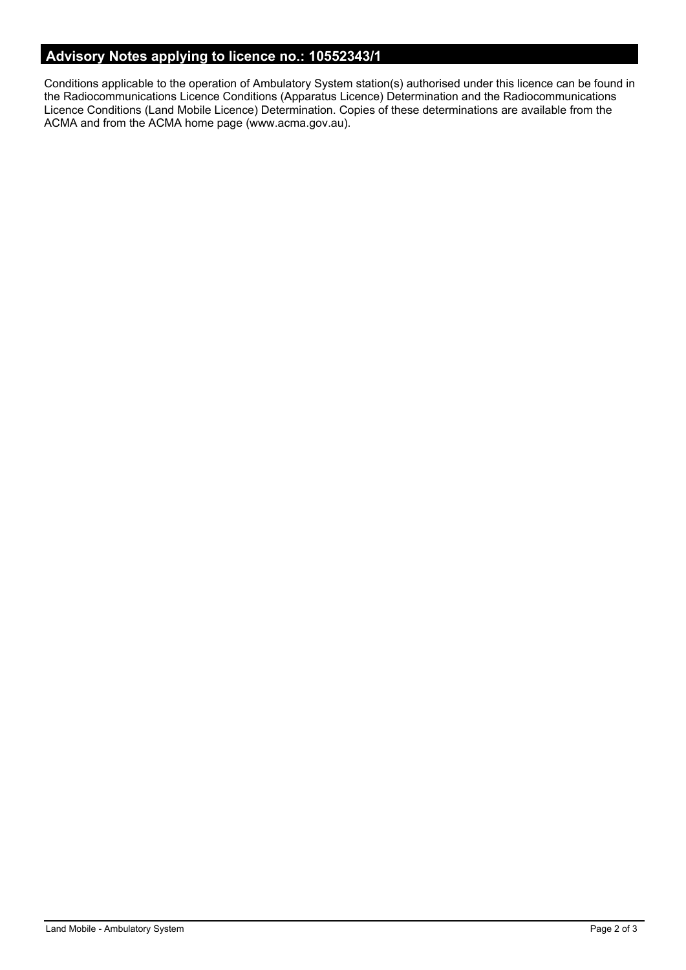# **Advisory Notes applying to licence no.: 10552343/1**

Conditions applicable to the operation of Ambulatory System station(s) authorised under this licence can be found in the Radiocommunications Licence Conditions (Apparatus Licence) Determination and the Radiocommunications Licence Conditions (Land Mobile Licence) Determination. Copies of these determinations are available from the ACMA and from the ACMA home page (www.acma.gov.au).